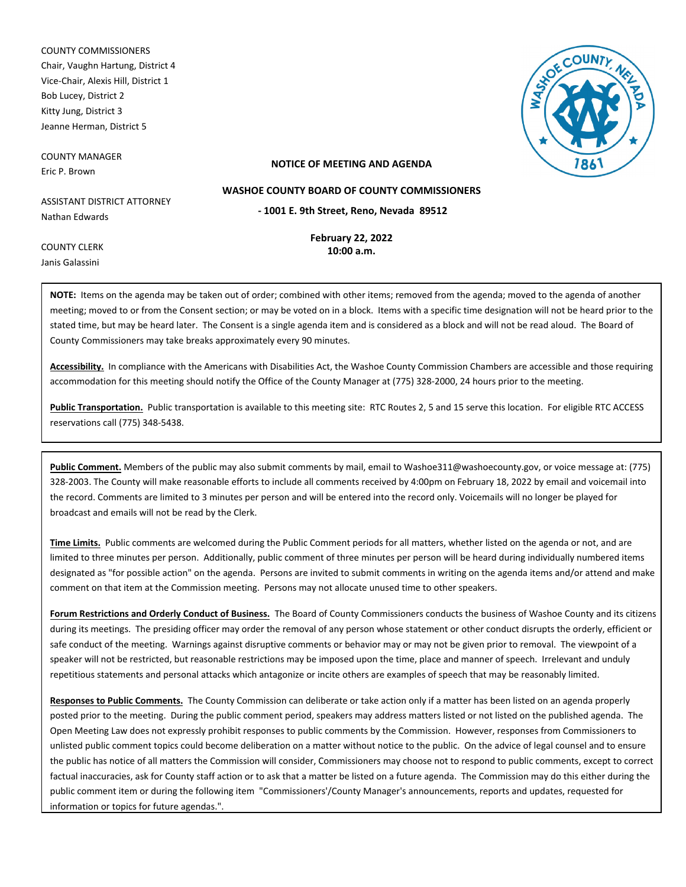COUNTY COMMISSIONERS Chair, Vaughn Hartung, District 4 Vice-Chair, Alexis Hill, District 1 Bob Lucey, District 2 Kitty Jung, District 3 Jeanne Herman, District 5

COUNTY MANAGER Eric P. Brown



## **NOTICE OF MEETING AND AGENDA**

ASSISTANT DISTRICT ATTORNEY Nathan Edwards

**February 22, 2022**

**- 1001 E. 9th Street, Reno, Nevada 89512 WASHOE COUNTY BOARD OF COUNTY COMMISSIONERS**

COUNTY CLERK Janis Galassini

**10:00 a.m.**

**NOTE:** Items on the agenda may be taken out of order; combined with other items; removed from the agenda; moved to the agenda of another meeting; moved to or from the Consent section; or may be voted on in a block. Items with a specific time designation will not be heard prior to the stated time, but may be heard later. The Consent is a single agenda item and is considered as a block and will not be read aloud. The Board of County Commissioners may take breaks approximately every 90 minutes.

**Accessibility.** In compliance with the Americans with Disabilities Act, the Washoe County Commission Chambers are accessible and those requiring accommodation for this meeting should notify the Office of the County Manager at (775) 328-2000, 24 hours prior to the meeting.

**Public Transportation.** Public transportation is available to this meeting site: RTC Routes 2, 5 and 15 serve this location. For eligible RTC ACCESS reservations call (775) 348-5438.

**Public Comment.** Members of the public may also submit comments by mail, email to Washoe311@washoecounty.gov, or voice message at: (775) 328-2003. The County will make reasonable efforts to include all comments received by 4:00pm on February 18, 2022 by email and voicemail into the record. Comments are limited to 3 minutes per person and will be entered into the record only. Voicemails will no longer be played for broadcast and emails will not be read by the Clerk.

**Time Limits.** Public comments are welcomed during the Public Comment periods for all matters, whether listed on the agenda or not, and are limited to three minutes per person. Additionally, public comment of three minutes per person will be heard during individually numbered items designated as "for possible action" on the agenda. Persons are invited to submit comments in writing on the agenda items and/or attend and make comment on that item at the Commission meeting. Persons may not allocate unused time to other speakers.

**Forum Restrictions and Orderly Conduct of Business.** The Board of County Commissioners conducts the business of Washoe County and its citizens during its meetings. The presiding officer may order the removal of any person whose statement or other conduct disrupts the orderly, efficient or safe conduct of the meeting. Warnings against disruptive comments or behavior may or may not be given prior to removal. The viewpoint of a speaker will not be restricted, but reasonable restrictions may be imposed upon the time, place and manner of speech. Irrelevant and unduly repetitious statements and personal attacks which antagonize or incite others are examples of speech that may be reasonably limited.

**Responses to Public Comments.** The County Commission can deliberate or take action only if a matter has been listed on an agenda properly posted prior to the meeting. During the public comment period, speakers may address matters listed or not listed on the published agenda. The Open Meeting Law does not expressly prohibit responses to public comments by the Commission. However, responses from Commissioners to unlisted public comment topics could become deliberation on a matter without notice to the public. On the advice of legal counsel and to ensure the public has notice of all matters the Commission will consider, Commissioners may choose not to respond to public comments, except to correct factual inaccuracies, ask for County staff action or to ask that a matter be listed on a future agenda. The Commission may do this either during the public comment item or during the following item "Commissioners'/County Manager's announcements, reports and updates, requested for information or topics for future agendas.".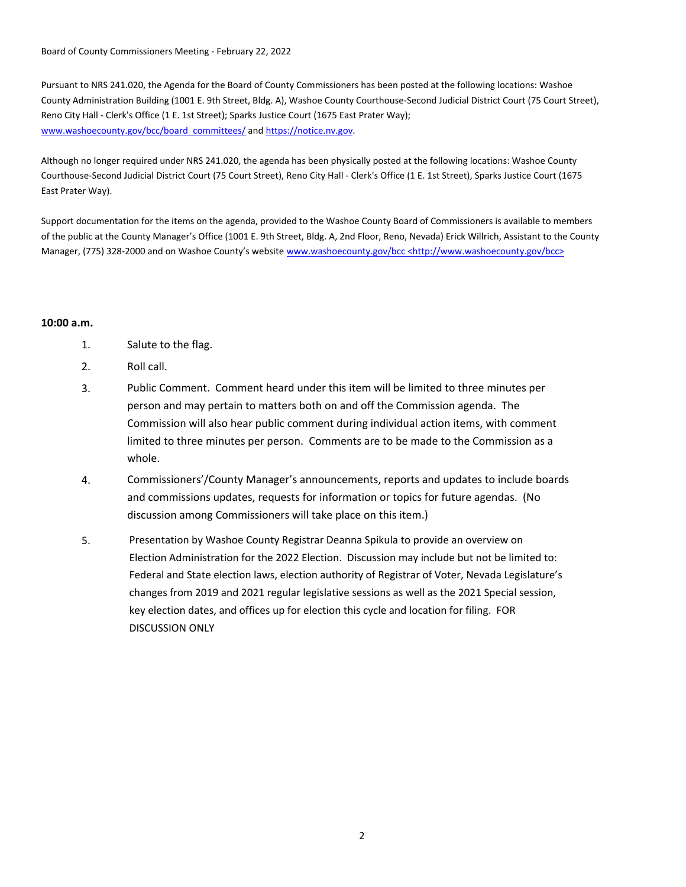Board of County Commissioners Meeting - February 22, 2022

Pursuant to NRS 241.020, the Agenda for the Board of County Commissioners has been posted at the following locations: Washoe County Administration Building (1001 E. 9th Street, Bldg. A), Washoe County Courthouse-Second Judicial District Court (75 Court Street), Reno City Hall - Clerk's Office (1 E. 1st Street); Sparks Justice Court (1675 East Prater Way); www.washoecounty.gov/bcc/board\_committees/ and https://notice.nv.gov.

Although no longer required under NRS 241.020, the agenda has been physically posted at the following locations: Washoe County Courthouse-Second Judicial District Court (75 Court Street), Reno City Hall - Clerk's Office (1 E. 1st Street), Sparks Justice Court (1675 East Prater Way).

Support documentation for the items on the agenda, provided to the Washoe County Board of Commissioners is available to members of the public at the County Manager's Office (1001 E. 9th Street, Bldg. A, 2nd Floor, Reno, Nevada) Erick Willrich, Assistant to the County Manager, (775) 328-2000 and on Washoe County's website www.washoecounty.gov/bcc <http://www.washoecounty.gov/bcc>

# **10:00 a.m.**

- 1. Salute to the flag.
- 2. Roll call.
- 3. Public Comment. Comment heard under this item will be limited to three minutes per person and may pertain to matters both on and off the Commission agenda. The Commission will also hear public comment during individual action items, with comment limited to three minutes per person. Comments are to be made to the Commission as a whole.
- 4. Commissioners'/County Manager's announcements, reports and updates to include boards and commissions updates, requests for information or topics for future agendas. (No discussion among Commissioners will take place on this item.)
- Presentation by Washoe County Registrar Deanna Spikula to provide an overview on Election Administration for the 2022 Election. Discussion may include but not be limited to: Federal and State election laws, election authority of Registrar of Voter, Nevada Legislature's changes from 2019 and 2021 regular legislative sessions as well as the 2021 Special session, key election dates, and offices up for election this cycle and location for filing. FOR DISCUSSION ONLY 5.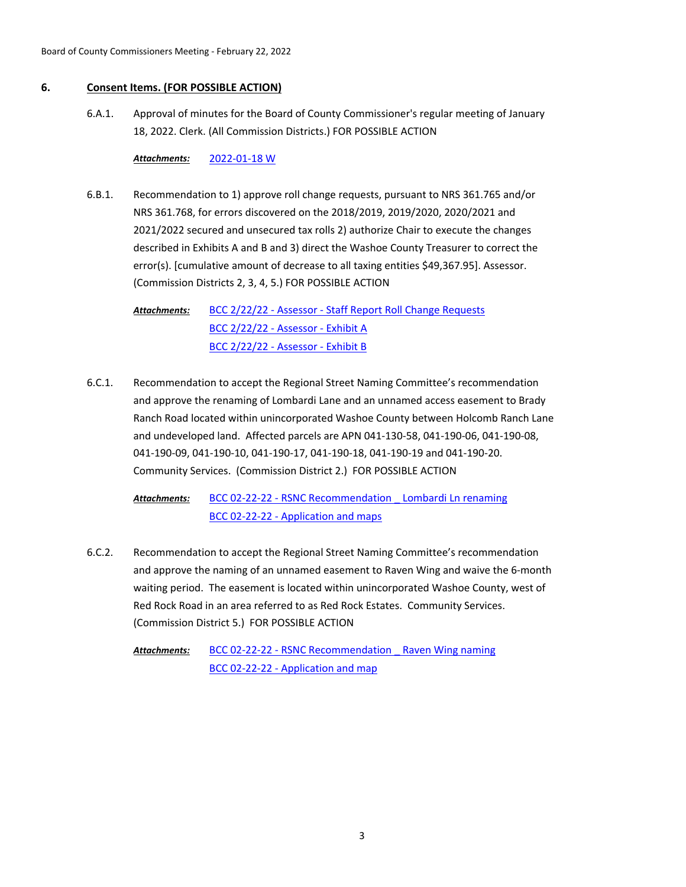# **6. Consent Items. (FOR POSSIBLE ACTION)**

Approval of minutes for the Board of County Commissioner's regular meeting of January 18, 2022. Clerk. (All Commission Districts.) FOR POSSIBLE ACTION 6.A.1.

*Attachments:* [2022-01-18 W](http://washoe-nv.legistar.com/gateway.aspx?M=F&ID=073ecff4-f2f3-4942-a266-74aea3d5712e.pdf)

Recommendation to 1) approve roll change requests, pursuant to NRS 361.765 and/or NRS 361.768, for errors discovered on the 2018/2019, 2019/2020, 2020/2021 and 2021/2022 secured and unsecured tax rolls 2) authorize Chair to execute the changes described in Exhibits A and B and 3) direct the Washoe County Treasurer to correct the error(s). [cumulative amount of decrease to all taxing entities \$49,367.95]. Assessor. (Commission Districts 2, 3, 4, 5.) FOR POSSIBLE ACTION 6.B.1.

> [BCC 2/22/22 - Assessor - Staff Report Roll Change Requests](http://washoe-nv.legistar.com/gateway.aspx?M=F&ID=3f7a5ab1-180d-4ecc-b4c0-51429205c759.docx) [BCC 2/22/22 - Assessor - Exhibit A](http://washoe-nv.legistar.com/gateway.aspx?M=F&ID=5d7287aa-4f4b-4987-a398-1e1738f74d81.pdf) [BCC 2/22/22 - Assessor - Exhibit B](http://washoe-nv.legistar.com/gateway.aspx?M=F&ID=b5c570ba-dbeb-4fb4-8eac-4b230a4f8b43.pdf) *Attachments:*

Recommendation to accept the Regional Street Naming Committee's recommendation and approve the renaming of Lombardi Lane and an unnamed access easement to Brady Ranch Road located within unincorporated Washoe County between Holcomb Ranch Lane and undeveloped land. Affected parcels are APN 041-130-58, 041-190-06, 041-190-08, 041-190-09, 041-190-10, 041-190-17, 041-190-18, 041-190-19 and 041-190-20. Community Services. (Commission District 2.) FOR POSSIBLE ACTION 6.C.1.

BCC 02-22-22 - RSNC Recommendation Lombardi Ln renaming [BCC 02-22-22 - Application and maps](http://washoe-nv.legistar.com/gateway.aspx?M=F&ID=73cfd008-8a7c-4be2-91f2-85261f382722.pdf) *Attachments:*

Recommendation to accept the Regional Street Naming Committee's recommendation and approve the naming of an unnamed easement to Raven Wing and waive the 6-month waiting period. The easement is located within unincorporated Washoe County, west of Red Rock Road in an area referred to as Red Rock Estates. Community Services. (Commission District 5.) FOR POSSIBLE ACTION 6.C.2.

[BCC 02-22-22 - RSNC Recommendation \\_ Raven Wing naming](http://washoe-nv.legistar.com/gateway.aspx?M=F&ID=479d6d75-cf2a-4437-9d38-88dbab907d69.doc) [BCC 02-22-22 - Application and map](http://washoe-nv.legistar.com/gateway.aspx?M=F&ID=72312c08-832a-44e7-9ab1-8ff6911a610f.pdf) *Attachments:*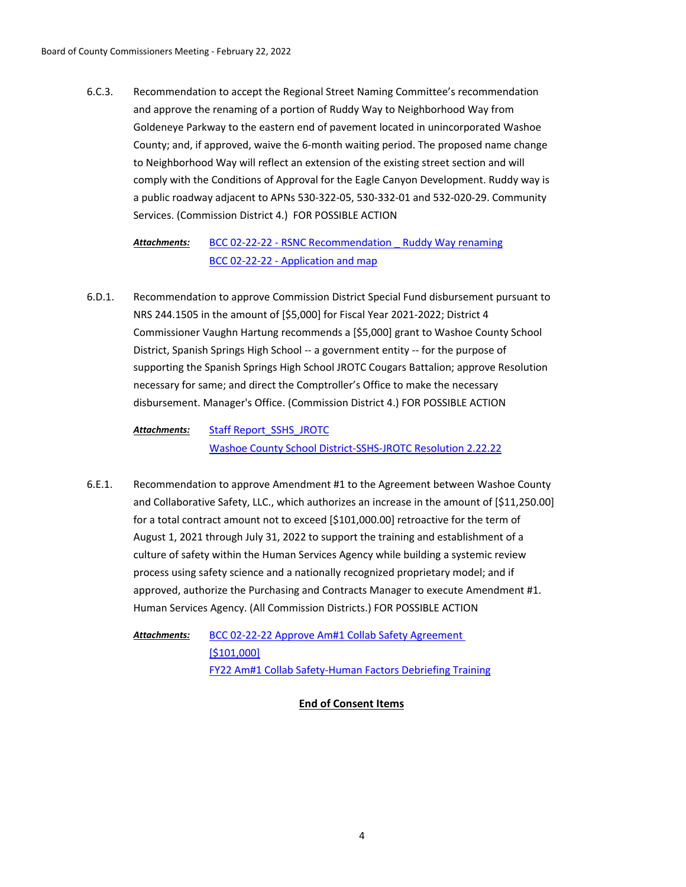Recommendation to accept the Regional Street Naming Committee's recommendation and approve the renaming of a portion of Ruddy Way to Neighborhood Way from Goldeneye Parkway to the eastern end of pavement located in unincorporated Washoe County; and, if approved, waive the 6-month waiting period. The proposed name change to Neighborhood Way will reflect an extension of the existing street section and will comply with the Conditions of Approval for the Eagle Canyon Development. Ruddy way is a public roadway adjacent to APNs 530-322-05, 530-332-01 and 532-020-29. Community Services. (Commission District 4.) FOR POSSIBLE ACTION 6.C.3.

#### [BCC 02-22-22 - RSNC Recommendation \\_ Ruddy Way renaming](http://washoe-nv.legistar.com/gateway.aspx?M=F&ID=2503d4fb-24fe-44a7-a2be-7ded302d7807.doc) [BCC 02-22-22 - Application and map](http://washoe-nv.legistar.com/gateway.aspx?M=F&ID=a12655f6-6ce4-4a16-aeca-ab74f41ca7b6.pdf) *Attachments:*

Recommendation to approve Commission District Special Fund disbursement pursuant to NRS 244.1505 in the amount of [\$5,000] for Fiscal Year 2021-2022; District 4 Commissioner Vaughn Hartung recommends a [\$5,000] grant to Washoe County School District, Spanish Springs High School -- a government entity -- for the purpose of supporting the Spanish Springs High School JROTC Cougars Battalion; approve Resolution necessary for same; and direct the Comptroller's Office to make the necessary disbursement. Manager's Office. (Commission District 4.) FOR POSSIBLE ACTION 6.D.1.

[Staff Report\\_SSHS\\_JROTC](http://washoe-nv.legistar.com/gateway.aspx?M=F&ID=80c714e6-e063-4bee-afc7-f67b5fb77b6e.doc) [Washoe County School District-SSHS-JROTC Resolution 2.22.22](http://washoe-nv.legistar.com/gateway.aspx?M=F&ID=6ab2bda4-b27f-4c38-ac5a-ab7924d2e977.docx) *Attachments:*

Recommendation to approve Amendment #1 to the Agreement between Washoe County and Collaborative Safety, LLC., which authorizes an increase in the amount of [\$11,250.00] for a total contract amount not to exceed [\$101,000.00] retroactive for the term of August 1, 2021 through July 31, 2022 to support the training and establishment of a culture of safety within the Human Services Agency while building a systemic review process using safety science and a nationally recognized proprietary model; and if approved, authorize the Purchasing and Contracts Manager to execute Amendment #1. Human Services Agency. (All Commission Districts.) FOR POSSIBLE ACTION 6.E.1.

[BCC 02-22-22 Approve Am#1 Collab Safety Agreement](http://washoe-nv.legistar.com/gateway.aspx?M=F&ID=623a898e-87a3-476c-ac5e-404ce162b3ac.doc)  [\$101,000] [FY22 Am#1 Collab Safety-Human Factors Debriefing Training](http://washoe-nv.legistar.com/gateway.aspx?M=F&ID=e7ca3862-c849-4c08-bc0c-28db3e9dec2e.docx) *Attachments:*

# **End of Consent Items**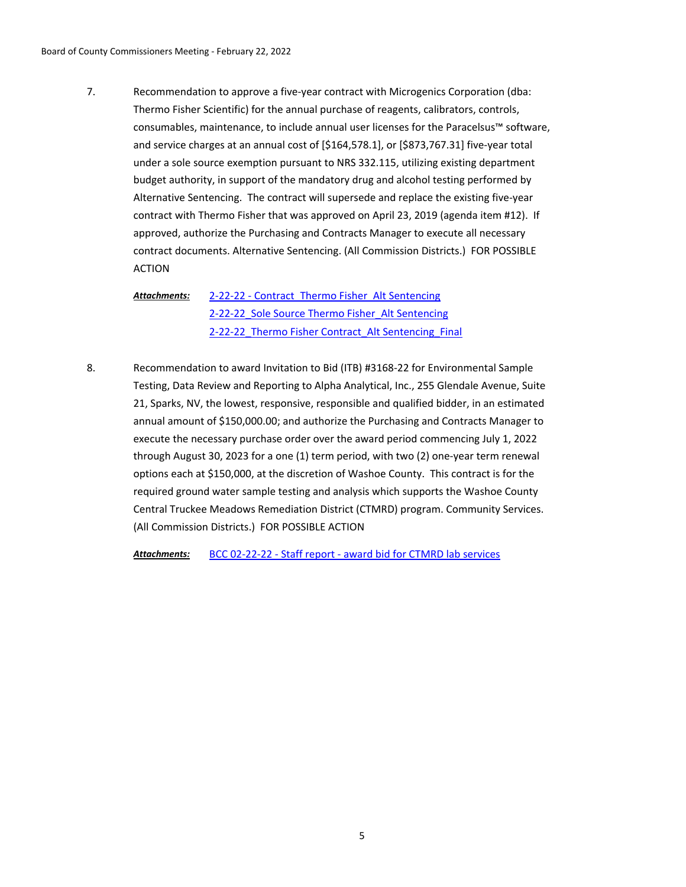Recommendation to approve a five-year contract with Microgenics Corporation (dba: Thermo Fisher Scientific) for the annual purchase of reagents, calibrators, controls, consumables, maintenance, to include annual user licenses for the Paracelsus™ software, and service charges at an annual cost of [\$164,578.1], or [\$873,767.31] five-year total under a sole source exemption pursuant to NRS 332.115, utilizing existing department budget authority, in support of the mandatory drug and alcohol testing performed by Alternative Sentencing. The contract will supersede and replace the existing five-year contract with Thermo Fisher that was approved on April 23, 2019 (agenda item #12). If approved, authorize the Purchasing and Contracts Manager to execute all necessary contract documents. Alternative Sentencing. (All Commission Districts.) FOR POSSIBLE ACTION 7.

[2-22-22 - Contract\\_Thermo Fisher\\_Alt Sentencing](http://washoe-nv.legistar.com/gateway.aspx?M=F&ID=3f9ae52c-51fb-46e1-8603-4bd82a1e334c.doc) [2-22-22\\_Sole Source Thermo Fisher\\_Alt Sentencing](http://washoe-nv.legistar.com/gateway.aspx?M=F&ID=93045544-96e3-49d1-a739-bfa68f5f5852.pdf) 2-22-22 Thermo Fisher Contract Alt Sentencing Final *Attachments:*

Recommendation to award Invitation to Bid (ITB) #3168-22 for Environmental Sample Testing, Data Review and Reporting to Alpha Analytical, Inc., 255 Glendale Avenue, Suite 21, Sparks, NV, the lowest, responsive, responsible and qualified bidder, in an estimated annual amount of \$150,000.00; and authorize the Purchasing and Contracts Manager to execute the necessary purchase order over the award period commencing July 1, 2022 through August 30, 2023 for a one (1) term period, with two (2) one-year term renewal options each at \$150,000, at the discretion of Washoe County. This contract is for the required ground water sample testing and analysis which supports the Washoe County Central Truckee Meadows Remediation District (CTMRD) program. Community Services. (All Commission Districts.) FOR POSSIBLE ACTION 8.

*Attachments:* [BCC 02-22-22 - Staff report - award bid for CTMRD lab services](http://washoe-nv.legistar.com/gateway.aspx?M=F&ID=e7063648-08cb-423e-8957-460b814d9e4b.doc)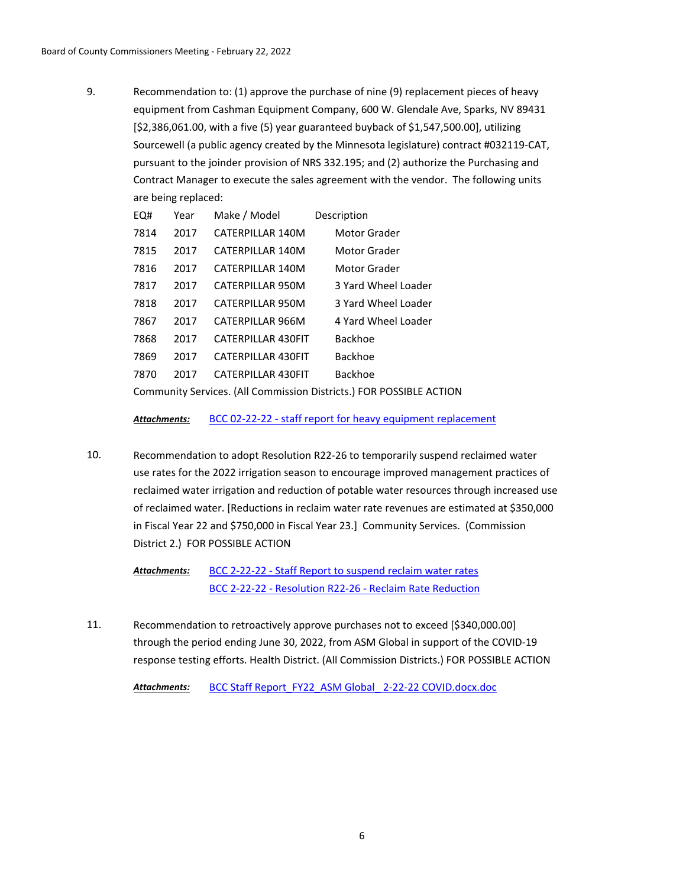Recommendation to: (1) approve the purchase of nine (9) replacement pieces of heavy equipment from Cashman Equipment Company, 600 W. Glendale Ave, Sparks, NV 89431 [\$2,386,061.00, with a five (5) year guaranteed buyback of \$1,547,500.00], utilizing Sourcewell (a public agency created by the Minnesota legislature) contract #032119-CAT, pursuant to the joinder provision of NRS 332.195; and (2) authorize the Purchasing and Contract Manager to execute the sales agreement with the vendor. The following units are being replaced: 9.

| EQ#  | Year | Make / Model              | Description         |
|------|------|---------------------------|---------------------|
| 7814 | 2017 | CATERPILLAR 140M          | Motor Grader        |
| 7815 | 2017 | CATERPILLAR 140M          | Motor Grader        |
| 7816 | 2017 | CATERPILLAR 140M          | Motor Grader        |
| 7817 | 2017 | CATERPILLAR 950M          | 3 Yard Wheel Loader |
| 7818 | 2017 | CATERPILLAR 950M          | 3 Yard Wheel Loader |
| 7867 | 2017 | CATERPILLAR 966M          | 4 Yard Wheel Loader |
| 7868 | 2017 | <b>CATERPILLAR 430FIT</b> | Backhoe             |
| 7869 | 2017 | CATERPILLAR 430FIT        | Backhoe             |
| 7870 | 2017 | CATERPILLAR 430FIT        | Backhoe             |
|      |      |                           |                     |

Community Services. (All Commission Districts.) FOR POSSIBLE ACTION

*Attachments:* [BCC 02-22-22 - staff report for heavy equipment replacement](http://washoe-nv.legistar.com/gateway.aspx?M=F&ID=0ad06fbf-bb13-4486-809e-a9a7074445c1.doc)

Recommendation to adopt Resolution R22-26 to temporarily suspend reclaimed water use rates for the 2022 irrigation season to encourage improved management practices of reclaimed water irrigation and reduction of potable water resources through increased use of reclaimed water. [Reductions in reclaim water rate revenues are estimated at \$350,000 in Fiscal Year 22 and \$750,000 in Fiscal Year 23.] Community Services. (Commission District 2.) FOR POSSIBLE ACTION 10.

[BCC 2-22-22 - Staff Report to suspend reclaim water rates](http://washoe-nv.legistar.com/gateway.aspx?M=F&ID=c7808fd7-7183-4b51-8e1d-4bc3b9044a53.doc) [BCC 2-22-22 - Resolution R22-26 - Reclaim Rate Reduction](http://washoe-nv.legistar.com/gateway.aspx?M=F&ID=97cbfee7-2a82-4288-afd5-9174b705ffca.docx) *Attachments:*

Recommendation to retroactively approve purchases not to exceed [\$340,000.00] through the period ending June 30, 2022, from ASM Global in support of the COVID-19 response testing efforts. Health District. (All Commission Districts.) FOR POSSIBLE ACTION 11.

*Attachments:* [BCC Staff Report\\_FY22\\_ASM Global\\_ 2-22-22 COVID.docx.doc](http://washoe-nv.legistar.com/gateway.aspx?M=F&ID=e2e0410c-2251-468f-8081-e656bd3d180a.doc)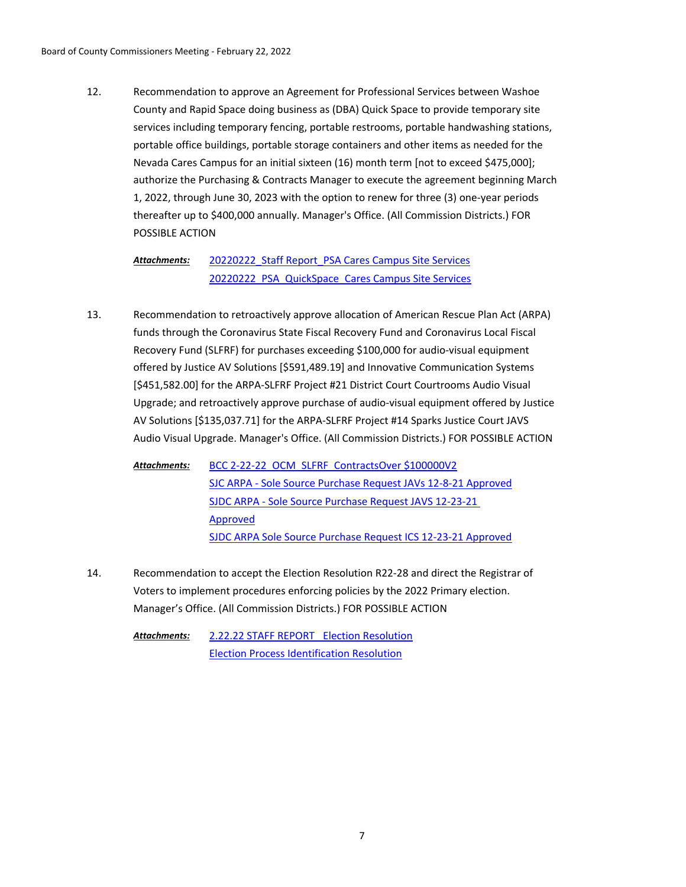Recommendation to approve an Agreement for Professional Services between Washoe County and Rapid Space doing business as (DBA) Quick Space to provide temporary site services including temporary fencing, portable restrooms, portable handwashing stations, portable office buildings, portable storage containers and other items as needed for the Nevada Cares Campus for an initial sixteen (16) month term [not to exceed \$475,000]; authorize the Purchasing & Contracts Manager to execute the agreement beginning March 1, 2022, through June 30, 2023 with the option to renew for three (3) one-year periods thereafter up to \$400,000 annually. Manager's Office. (All Commission Districts.) FOR POSSIBLE ACTION 12.

[20220222\\_Staff Report\\_PSA Cares Campus Site Services](http://washoe-nv.legistar.com/gateway.aspx?M=F&ID=57ab0838-5b43-4fe6-bea7-7ee93f14b2e4.doc) [20220222\\_PSA\\_QuickSpace\\_Cares Campus Site Services](http://washoe-nv.legistar.com/gateway.aspx?M=F&ID=2d939900-8745-4454-a6e5-ba3003107686.docx) *Attachments:*

- Recommendation to retroactively approve allocation of American Rescue Plan Act (ARPA) funds through the Coronavirus State Fiscal Recovery Fund and Coronavirus Local Fiscal Recovery Fund (SLFRF) for purchases exceeding \$100,000 for audio-visual equipment offered by Justice AV Solutions [\$591,489.19] and Innovative Communication Systems [\$451,582.00] for the ARPA-SLFRF Project #21 District Court Courtrooms Audio Visual Upgrade; and retroactively approve purchase of audio-visual equipment offered by Justice AV Solutions [\$135,037.71] for the ARPA-SLFRF Project #14 Sparks Justice Court JAVS Audio Visual Upgrade. Manager's Office. (All Commission Districts.) FOR POSSIBLE ACTION 13.
	- [BCC 2-22-22\\_OCM\\_SLFRF\\_ContractsOver \\$100000V2](http://washoe-nv.legistar.com/gateway.aspx?M=F&ID=e9efa9a5-cfc2-405a-a757-d8375b14b1ba.docx) [SJC ARPA - Sole Source Purchase Request JAVs 12-8-21 Approved](http://washoe-nv.legistar.com/gateway.aspx?M=F&ID=abda41da-d3c2-4589-913f-62b796e8a001.pdf) [SJDC ARPA - Sole Source Purchase Request JAVS 12-23-21](http://washoe-nv.legistar.com/gateway.aspx?M=F&ID=feb643c0-003e-4667-819a-837f889bfa74.pdf)  Approved [SJDC ARPA Sole Source Purchase Request ICS 12-23-21 Approved](http://washoe-nv.legistar.com/gateway.aspx?M=F&ID=a8d2f40b-9ca0-49b4-b88e-54acd5ed346e.pdf) *Attachments:*
- Recommendation to accept the Election Resolution R22-28 and direct the Registrar of Voters to implement procedures enforcing policies by the 2022 Primary election. Manager's Office. (All Commission Districts.) FOR POSSIBLE ACTION 14.

[2.22.22 STAFF REPORT\\_ Election Resolution](http://washoe-nv.legistar.com/gateway.aspx?M=F&ID=6b1419fa-0072-4740-a34a-0309767fface.doc) [Election Process Identification Resolution](http://washoe-nv.legistar.com/gateway.aspx?M=F&ID=d446fb60-b79b-4e1d-80b9-235ab6801320.docx) *Attachments:*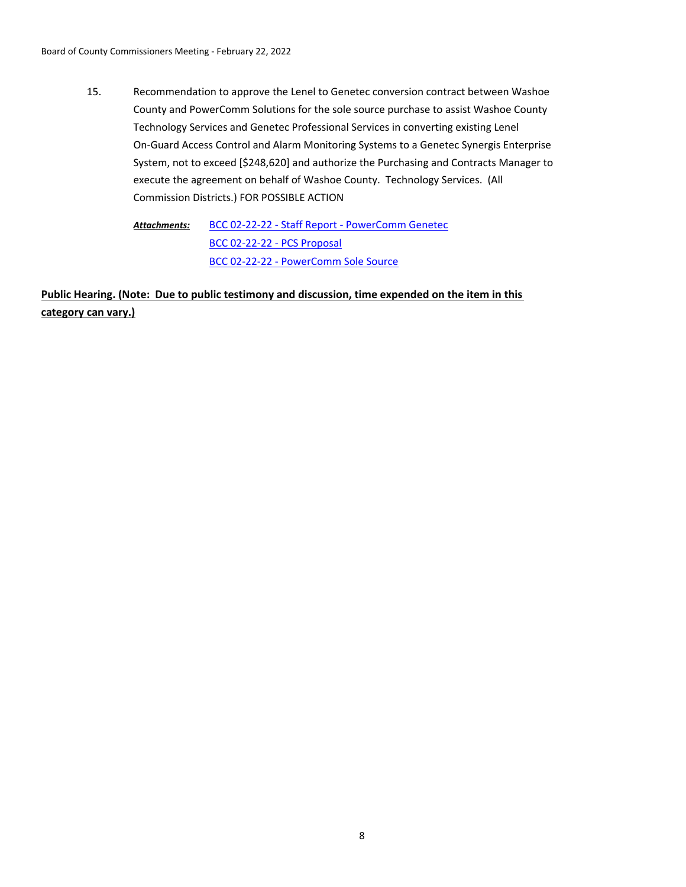Recommendation to approve the Lenel to Genetec conversion contract between Washoe County and PowerComm Solutions for the sole source purchase to assist Washoe County Technology Services and Genetec Professional Services in converting existing Lenel On-Guard Access Control and Alarm Monitoring Systems to a Genetec Synergis Enterprise System, not to exceed [\$248,620] and authorize the Purchasing and Contracts Manager to execute the agreement on behalf of Washoe County. Technology Services. (All Commission Districts.) FOR POSSIBLE ACTION 15.

[BCC 02-22-22 - Staff Report - PowerComm Genetec](http://washoe-nv.legistar.com/gateway.aspx?M=F&ID=8caaa92e-df74-454f-9248-4dfd8b8e0fc0.docx) [BCC 02-22-22 - PCS Proposal](http://washoe-nv.legistar.com/gateway.aspx?M=F&ID=1654ea89-7add-4bb8-8693-59d8bc46a98a.pdf) [BCC 02-22-22 - PowerComm Sole Source](http://washoe-nv.legistar.com/gateway.aspx?M=F&ID=948f45e4-2315-4064-9e31-dec486003248.pdf) *Attachments:*

# **Public Hearing. (Note: Due to public testimony and discussion, time expended on the item in this category can vary.)**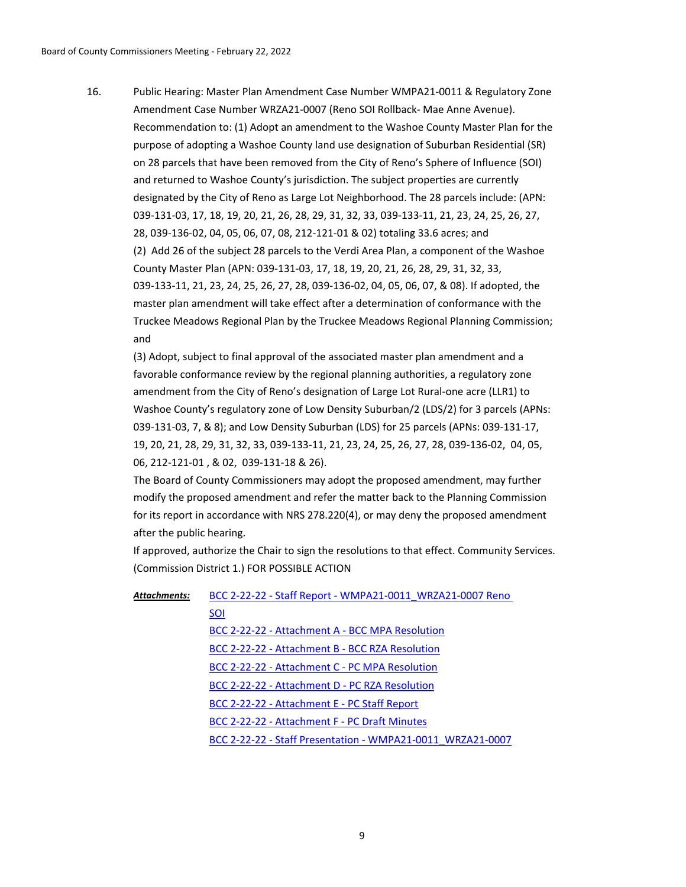Public Hearing: Master Plan Amendment Case Number WMPA21-0011 & Regulatory Zone Amendment Case Number WRZA21-0007 (Reno SOI Rollback- Mae Anne Avenue). Recommendation to: (1) Adopt an amendment to the Washoe County Master Plan for the purpose of adopting a Washoe County land use designation of Suburban Residential (SR) on 28 parcels that have been removed from the City of Reno's Sphere of Influence (SOI) and returned to Washoe County's jurisdiction. The subject properties are currently designated by the City of Reno as Large Lot Neighborhood. The 28 parcels include: (APN: 039-131-03, 17, 18, 19, 20, 21, 26, 28, 29, 31, 32, 33, 039-133-11, 21, 23, 24, 25, 26, 27, 28, 039-136-02, 04, 05, 06, 07, 08, 212-121-01 & 02) totaling 33.6 acres; and (2) Add 26 of the subject 28 parcels to the Verdi Area Plan, a component of the Washoe County Master Plan (APN: 039-131-03, 17, 18, 19, 20, 21, 26, 28, 29, 31, 32, 33, 039-133-11, 21, 23, 24, 25, 26, 27, 28, 039-136-02, 04, 05, 06, 07, & 08). If adopted, the master plan amendment will take effect after a determination of conformance with the Truckee Meadows Regional Plan by the Truckee Meadows Regional Planning Commission; and 16.

(3) Adopt, subject to final approval of the associated master plan amendment and a favorable conformance review by the regional planning authorities, a regulatory zone amendment from the City of Reno's designation of Large Lot Rural-one acre (LLR1) to Washoe County's regulatory zone of Low Density Suburban/2 (LDS/2) for 3 parcels (APNs: 039-131-03, 7, & 8); and Low Density Suburban (LDS) for 25 parcels (APNs: 039-131-17, 19, 20, 21, 28, 29, 31, 32, 33, 039-133-11, 21, 23, 24, 25, 26, 27, 28, 039-136-02, 04, 05, 06, 212-121-01 , & 02, 039-131-18 & 26).

The Board of County Commissioners may adopt the proposed amendment, may further modify the proposed amendment and refer the matter back to the Planning Commission for its report in accordance with NRS 278.220(4), or may deny the proposed amendment after the public hearing.

If approved, authorize the Chair to sign the resolutions to that effect. Community Services. (Commission District 1.) FOR POSSIBLE ACTION

| BCC 2-22-22 - Staff Report - WMPA21-0011 WRZA21-0007 Reno  |  |  |
|------------------------------------------------------------|--|--|
| <u>SOI</u>                                                 |  |  |
| BCC 2-22-22 - Attachment A - BCC MPA Resolution            |  |  |
| BCC 2-22-22 - Attachment B - BCC RZA Resolution            |  |  |
| BCC 2-22-22 - Attachment C - PC MPA Resolution             |  |  |
| BCC 2-22-22 - Attachment D - PC RZA Resolution             |  |  |
| BCC 2-22-22 - Attachment E - PC Staff Report               |  |  |
| BCC 2-22-22 - Attachment F - PC Draft Minutes              |  |  |
| BCC 2-22-22 - Staff Presentation - WMPA21-0011 WRZA21-0007 |  |  |
|                                                            |  |  |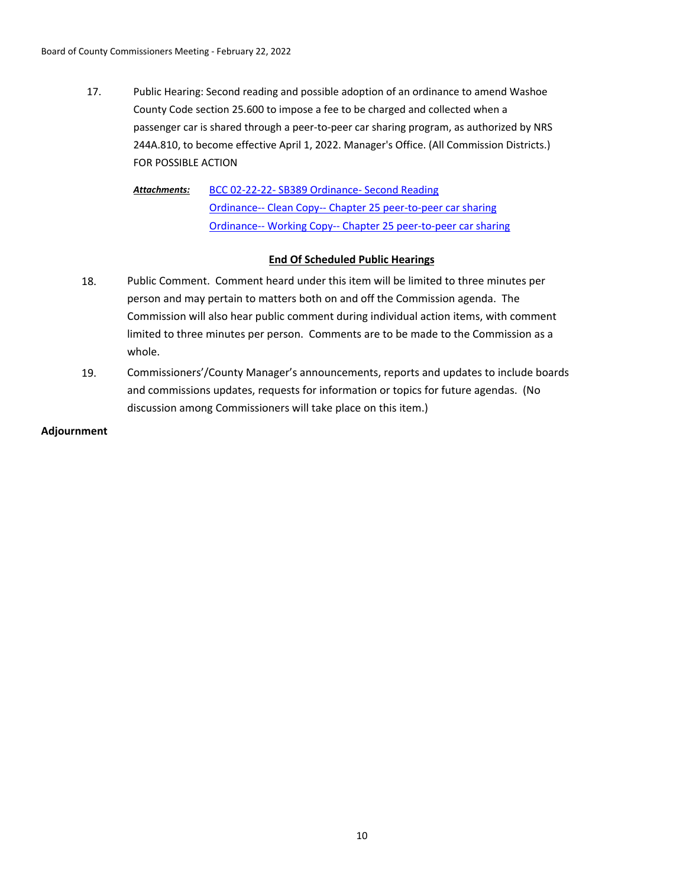Public Hearing: Second reading and possible adoption of an ordinance to amend Washoe County Code section 25.600 to impose a fee to be charged and collected when a passenger car is shared through a peer-to-peer car sharing program, as authorized by NRS 244A.810, to become effective April 1, 2022. Manager's Office. (All Commission Districts.) FOR POSSIBLE ACTION 17.

[BCC 02-22-22- SB389 Ordinance- Second Reading](http://washoe-nv.legistar.com/gateway.aspx?M=F&ID=b4adff2c-7018-4699-9c3e-31b52d7c283d.doc) [Ordinance-- Clean Copy-- Chapter 25 peer-to-peer car sharing](http://washoe-nv.legistar.com/gateway.aspx?M=F&ID=bacd1770-f6fc-4d67-b0e0-8df912cd3789.docx) [Ordinance-- Working Copy-- Chapter 25 peer-to-peer car sharing](http://washoe-nv.legistar.com/gateway.aspx?M=F&ID=8ae974fe-2a92-4256-b8ec-ae3871c5f86c.docx) *Attachments:*

# **End Of Scheduled Public Hearings**

- 18. Public Comment. Comment heard under this item will be limited to three minutes per person and may pertain to matters both on and off the Commission agenda. The Commission will also hear public comment during individual action items, with comment limited to three minutes per person. Comments are to be made to the Commission as a whole.
- 19. Commissioners'/County Manager's announcements, reports and updates to include boards and commissions updates, requests for information or topics for future agendas. (No discussion among Commissioners will take place on this item.)

**Adjournment**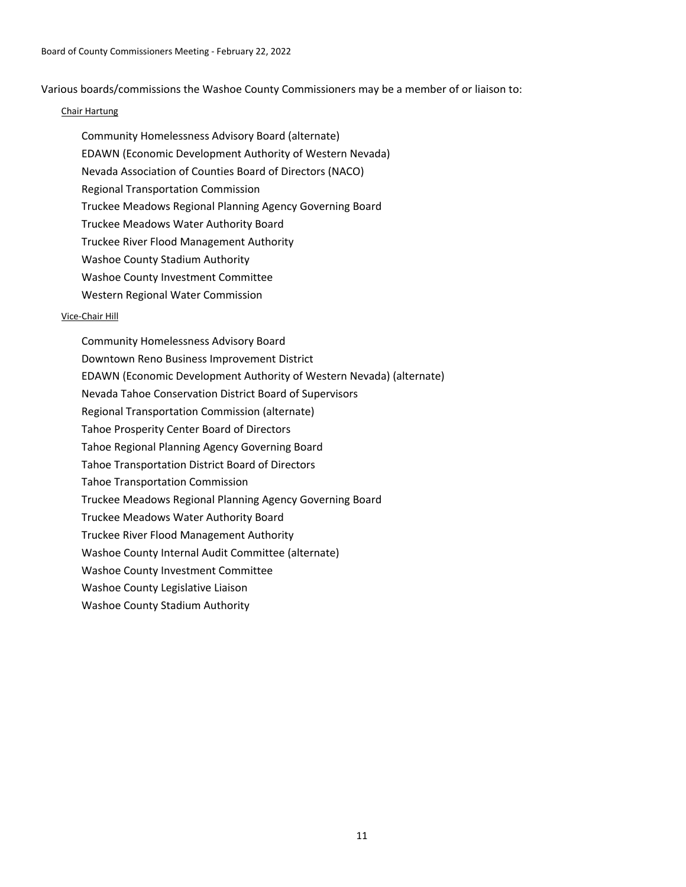Various boards/commissions the Washoe County Commissioners may be a member of or liaison to:

# Chair Hartung

Community Homelessness Advisory Board (alternate) EDAWN (Economic Development Authority of Western Nevada) Nevada Association of Counties Board of Directors (NACO) Regional Transportation Commission Truckee Meadows Regional Planning Agency Governing Board Truckee Meadows Water Authority Board Truckee River Flood Management Authority Washoe County Stadium Authority Washoe County Investment Committee Western Regional Water Commission

#### Vice-Chair Hill

Community Homelessness Advisory Board Downtown Reno Business Improvement District EDAWN (Economic Development Authority of Western Nevada) (alternate) Nevada Tahoe Conservation District Board of Supervisors Regional Transportation Commission (alternate) Tahoe Prosperity Center Board of Directors Tahoe Regional Planning Agency Governing Board Tahoe Transportation District Board of Directors Tahoe Transportation Commission Truckee Meadows Regional Planning Agency Governing Board Truckee Meadows Water Authority Board Truckee River Flood Management Authority Washoe County Internal Audit Committee (alternate) Washoe County Investment Committee Washoe County Legislative Liaison Washoe County Stadium Authority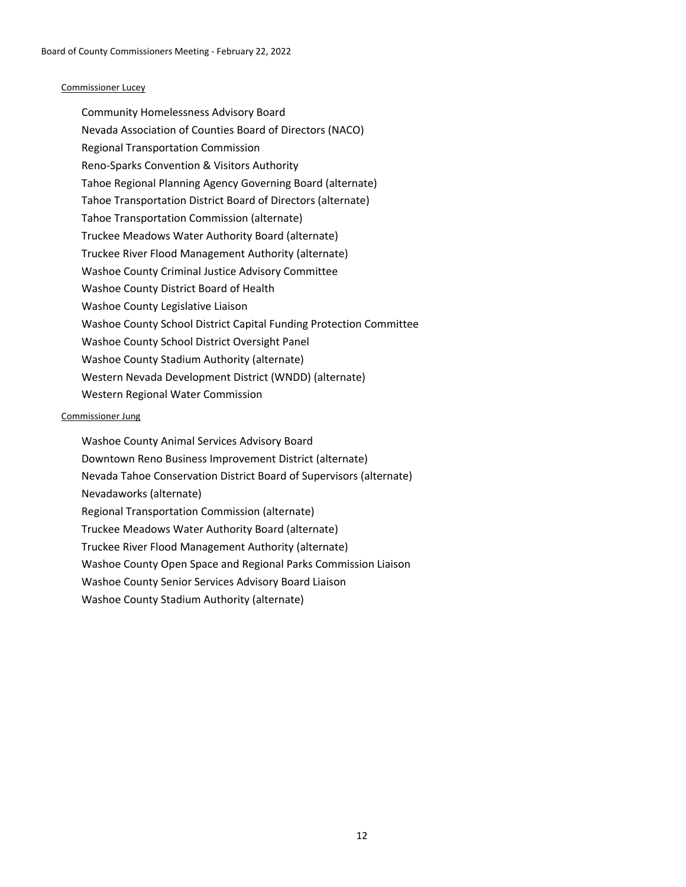# Commissioner Lucey

Community Homelessness Advisory Board Nevada Association of Counties Board of Directors (NACO) Regional Transportation Commission Reno-Sparks Convention & Visitors Authority Tahoe Regional Planning Agency Governing Board (alternate) Tahoe Transportation District Board of Directors (alternate) Tahoe Transportation Commission (alternate) Truckee Meadows Water Authority Board (alternate) Truckee River Flood Management Authority (alternate) Washoe County Criminal Justice Advisory Committee Washoe County District Board of Health Washoe County Legislative Liaison Washoe County School District Capital Funding Protection Committee Washoe County School District Oversight Panel Washoe County Stadium Authority (alternate) Western Nevada Development District (WNDD) (alternate) Western Regional Water Commission

#### Commissioner Jung

Washoe County Animal Services Advisory Board Downtown Reno Business Improvement District (alternate) Nevada Tahoe Conservation District Board of Supervisors (alternate) Nevadaworks (alternate) Regional Transportation Commission (alternate) Truckee Meadows Water Authority Board (alternate) Truckee River Flood Management Authority (alternate) Washoe County Open Space and Regional Parks Commission Liaison Washoe County Senior Services Advisory Board Liaison Washoe County Stadium Authority (alternate)